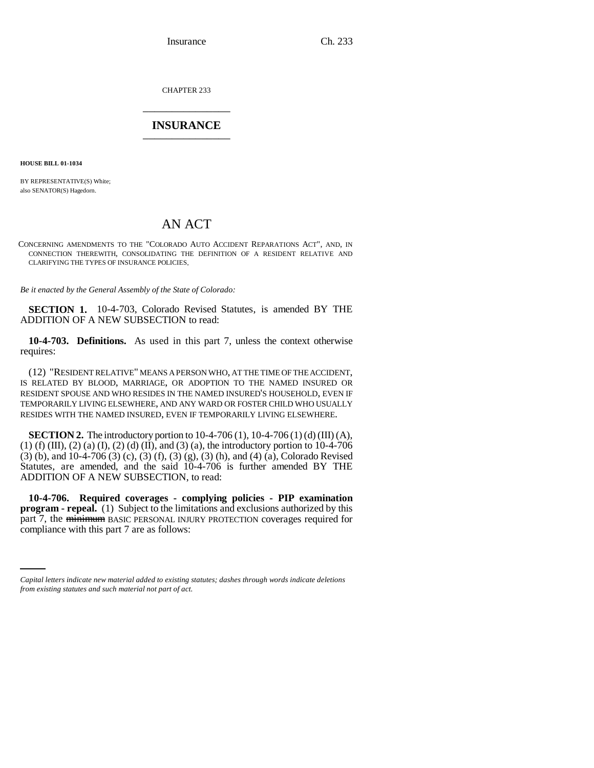Insurance Ch. 233

CHAPTER 233 \_\_\_\_\_\_\_\_\_\_\_\_\_\_\_

## **INSURANCE** \_\_\_\_\_\_\_\_\_\_\_\_\_\_\_

**HOUSE BILL 01-1034**

BY REPRESENTATIVE(S) White; also SENATOR(S) Hagedorn.

# AN ACT

CONCERNING AMENDMENTS TO THE "COLORADO AUTO ACCIDENT REPARATIONS ACT", AND, IN CONNECTION THEREWITH, CONSOLIDATING THE DEFINITION OF A RESIDENT RELATIVE AND CLARIFYING THE TYPES OF INSURANCE POLICIES.

*Be it enacted by the General Assembly of the State of Colorado:*

**SECTION 1.** 10-4-703, Colorado Revised Statutes, is amended BY THE ADDITION OF A NEW SUBSECTION to read:

**10-4-703. Definitions.** As used in this part 7, unless the context otherwise requires:

(12) "RESIDENT RELATIVE" MEANS A PERSON WHO, AT THE TIME OF THE ACCIDENT, IS RELATED BY BLOOD, MARRIAGE, OR ADOPTION TO THE NAMED INSURED OR RESIDENT SPOUSE AND WHO RESIDES IN THE NAMED INSURED'S HOUSEHOLD, EVEN IF TEMPORARILY LIVING ELSEWHERE, AND ANY WARD OR FOSTER CHILD WHO USUALLY RESIDES WITH THE NAMED INSURED, EVEN IF TEMPORARILY LIVING ELSEWHERE.

**SECTION 2.** The introductory portion to 10-4-706 (1), 10-4-706 (1) (d) (III) (A), (1) (f) (III), (2) (a) (I), (2) (d) (II), and (3) (a), the introductory portion to 10-4-706 (3) (b), and 10-4-706 (3) (c), (3) (f), (3) (g), (3) (h), and (4) (a), Colorado Revised Statutes, are amended, and the said 10-4-706 is further amended BY THE ADDITION OF A NEW SUBSECTION, to read:

part 7, the minimum BASIC PERSONAL INJURY PROTECTION coverages required for **10-4-706. Required coverages - complying policies - PIP examination program - repeal.** (1) Subject to the limitations and exclusions authorized by this compliance with this part 7 are as follows:

*Capital letters indicate new material added to existing statutes; dashes through words indicate deletions from existing statutes and such material not part of act.*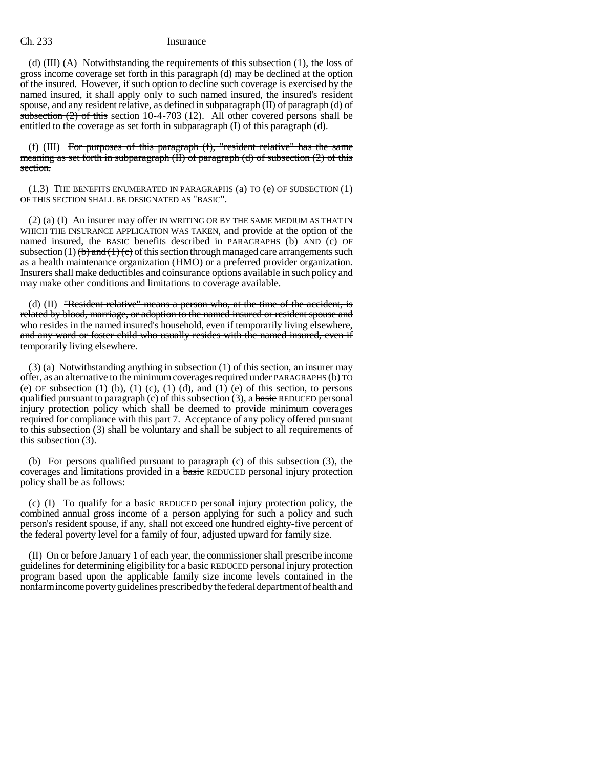#### Ch. 233 Insurance

(d)  $(III)$  (A) Notwithstanding the requirements of this subsection (1), the loss of gross income coverage set forth in this paragraph (d) may be declined at the option of the insured. However, if such option to decline such coverage is exercised by the named insured, it shall apply only to such named insured, the insured's resident spouse, and any resident relative, as defined in subparagraph (II) of paragraph (d) of subsection  $(2)$  of this section 10-4-703 (12). All other covered persons shall be entitled to the coverage as set forth in subparagraph (I) of this paragraph (d).

(f) (III) For purposes of this paragraph (f), "resident relative" has the same meaning as set forth in subparagraph (II) of paragraph (d) of subsection (2) of this section.

(1.3) THE BENEFITS ENUMERATED IN PARAGRAPHS (a) TO (e) OF SUBSECTION (1) OF THIS SECTION SHALL BE DESIGNATED AS "BASIC".

(2) (a) (I) An insurer may offer IN WRITING OR BY THE SAME MEDIUM AS THAT IN WHICH THE INSURANCE APPLICATION WAS TAKEN, and provide at the option of the named insured, the BASIC benefits described in PARAGRAPHS (b) AND (c) OF subsection (1)  $\left(\frac{b}{c}\right)$  and  $\left(\frac{1}{c}\right)$  of this section through managed care arrangements such as a health maintenance organization (HMO) or a preferred provider organization. Insurers shall make deductibles and coinsurance options available in such policy and may make other conditions and limitations to coverage available.

(d) (II) "Resident relative" means a person who, at the time of the accident, is related by blood, marriage, or adoption to the named insured or resident spouse and who resides in the named insured's household, even if temporarily living elsewhere, and any ward or foster child who usually resides with the named insured, even if temporarily living elsewhere.

(3) (a) Notwithstanding anything in subsection (1) of this section, an insurer may offer, as an alternative to the minimum coverages required under PARAGRAPHS (b) TO (e) OF subsection (1)  $(b)$ ,  $(1)$   $(c)$ ,  $(1)$   $(d)$ , and  $(1)$   $(e)$  of this section, to persons qualified pursuant to paragraph  $(c)$  of this subsection  $(3)$ , a basic REDUCED personal injury protection policy which shall be deemed to provide minimum coverages required for compliance with this part 7. Acceptance of any policy offered pursuant to this subsection (3) shall be voluntary and shall be subject to all requirements of this subsection (3).

(b) For persons qualified pursuant to paragraph (c) of this subsection (3), the coverages and limitations provided in a basic REDUCED personal injury protection policy shall be as follows:

(c) (I) To qualify for a basic REDUCED personal injury protection policy, the combined annual gross income of a person applying for such a policy and such person's resident spouse, if any, shall not exceed one hundred eighty-five percent of the federal poverty level for a family of four, adjusted upward for family size.

(II) On or before January 1 of each year, the commissioner shall prescribe income guidelines for determining eligibility for a basic REDUCED personal injury protection program based upon the applicable family size income levels contained in the nonfarm income poverty guidelines prescribed by the federal department of health and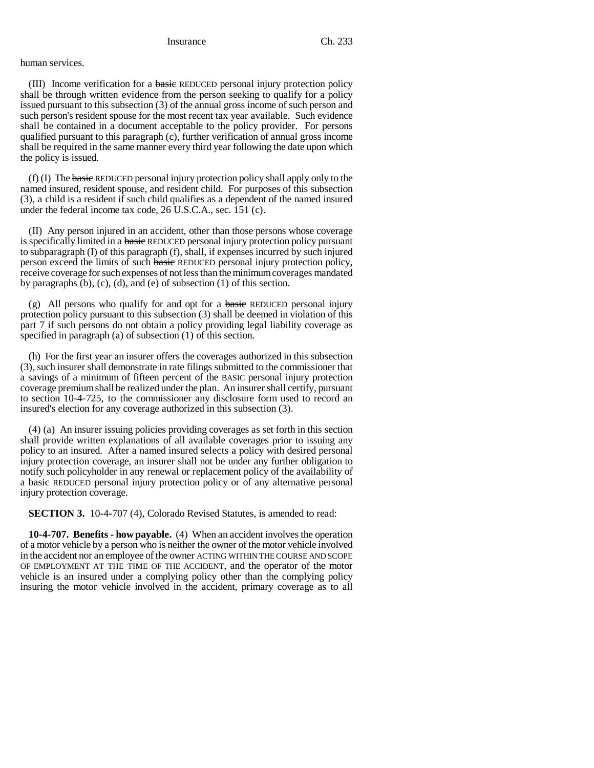#### Insurance Ch. 233

### human services.

(III) Income verification for a basic REDUCED personal injury protection policy shall be through written evidence from the person seeking to qualify for a policy issued pursuant to this subsection (3) of the annual gross income of such person and such person's resident spouse for the most recent tax year available. Such evidence shall be contained in a document acceptable to the policy provider. For persons qualified pursuant to this paragraph (c), further verification of annual gross income shall be required in the same manner every third year following the date upon which the policy is issued.

 $(f)$  (I) The basic REDUCED personal injury protection policy shall apply only to the named insured, resident spouse, and resident child. For purposes of this subsection (3), a child is a resident if such child qualifies as a dependent of the named insured under the federal income tax code, 26 U.S.C.A., sec. 151 (c).

(II) Any person injured in an accident, other than those persons whose coverage is specifically limited in a basic REDUCED personal injury protection policy pursuant to subparagraph (I) of this paragraph (f), shall, if expenses incurred by such injured person exceed the limits of such basic REDUCED personal injury protection policy, receive coverage for such expenses of not less than the minimum coverages mandated by paragraphs (b), (c), (d), and (e) of subsection (1) of this section.

(g) All persons who qualify for and opt for a basic REDUCED personal injury protection policy pursuant to this subsection (3) shall be deemed in violation of this part 7 if such persons do not obtain a policy providing legal liability coverage as specified in paragraph (a) of subsection (1) of this section.

(h) For the first year an insurer offers the coverages authorized in this subsection (3), such insurer shall demonstrate in rate filings submitted to the commissioner that a savings of a minimum of fifteen percent of the BASIC personal injury protection coverage premium shall be realized under the plan. An insurer shall certify, pursuant to section 10-4-725, to the commissioner any disclosure form used to record an insured's election for any coverage authorized in this subsection (3).

(4) (a) An insurer issuing policies providing coverages as set forth in this section shall provide written explanations of all available coverages prior to issuing any policy to an insured. After a named insured selects a policy with desired personal injury protection coverage, an insurer shall not be under any further obligation to notify such policyholder in any renewal or replacement policy of the availability of a basic REDUCED personal injury protection policy or of any alternative personal injury protection coverage.

**SECTION 3.** 10-4-707 (4), Colorado Revised Statutes, is amended to read:

**10-4-707. Benefits - how payable.** (4) When an accident involves the operation of a motor vehicle by a person who is neither the owner of the motor vehicle involved in the accident nor an employee of the owner ACTING WITHIN THE COURSE AND SCOPE OF EMPLOYMENT AT THE TIME OF THE ACCIDENT, and the operator of the motor vehicle is an insured under a complying policy other than the complying policy insuring the motor vehicle involved in the accident, primary coverage as to all